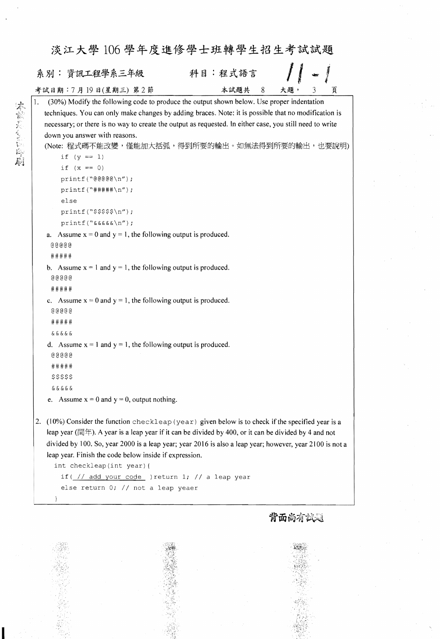| 系別: 資訊工程學系三年級                                                                                            | 科目:程式語言 |   |     |                |   |
|----------------------------------------------------------------------------------------------------------|---------|---|-----|----------------|---|
| 考試日期:7月19日(星期三) 第2節                                                                                      | 本試題共    | 8 | 大題, | $\mathfrak{Z}$ | 頁 |
| (30%) Modify the following code to produce the output shown below. Use proper indentation                |         |   |     |                |   |
| techniques. You can only make changes by adding braces. Note: it is possible that no modification is     |         |   |     |                |   |
| necessary; or there is no way to create the output as requested. In either case, you still need to write |         |   |     |                |   |
| down you answer with reasons.                                                                            |         |   |     |                |   |
| (Note: 程式碼不能改變,僅能加大括弧,得到所要的輸出。如無法得到所要的輸出,也要說明)                                                           |         |   |     |                |   |
| if $(y == 1)$                                                                                            |         |   |     |                |   |
| if $(x == 0)$                                                                                            |         |   |     |                |   |
| $printf("00000\n'n")$ ;                                                                                  |         |   |     |                |   |
| $print(f(\n$ <sup>+</sup> $\#$ $\#$ $\#$ $\#$ $\wedge$ $n'$ ) ;                                          |         |   |     |                |   |
| else                                                                                                     |         |   |     |                |   |
| $printf("$$\n$ /n");                                                                                     |         |   |     |                |   |
| $printf("&&&&&\\n'$                                                                                      |         |   |     |                |   |
| Assume $x = 0$ and $y = 1$ , the following output is produced.<br>a.                                     |         |   |     |                |   |
| $@@@@@$                                                                                                  |         |   |     |                |   |
| #####                                                                                                    |         |   |     |                |   |
| b. Assume $x = 1$ and $y = 1$ , the following output is produced.                                        |         |   |     |                |   |
|                                                                                                          |         |   |     |                |   |
| #####                                                                                                    |         |   |     |                |   |
| c. Assume $x = 0$ and $y = 1$ , the following output is produced.                                        |         |   |     |                |   |
| $@@@@@$                                                                                                  |         |   |     |                |   |
| #####                                                                                                    |         |   |     |                |   |
| & & & & &                                                                                                |         |   |     |                |   |
| d. Assume $x = 1$ and $y = 1$ , the following output is produced.                                        |         |   |     |                |   |
| $@@@@@$                                                                                                  |         |   |     |                |   |
| #####                                                                                                    |         |   |     |                |   |
| $$$ \$\$\$\$                                                                                             |         |   |     |                |   |
| & & & & &                                                                                                |         |   |     |                |   |
| e. Assume $x = 0$ and $y = 0$ , output nothing.                                                          |         |   |     |                |   |

leap year ( $\equiv$ ). A year is a leap year if it can be divided by 400, or it can be divided by 4 and not divided by 100. So, year 2000 is a leap year; year 2016 is also a leap year; however, year 2100 is not a leap year. Finish the code below inside if expression.

```
int checkleap(int year) {
```
 $\mathcal{L}$ 

**N. 2007 (1997)** 



else return 0; // not a leap yeaer

背面尚有試題

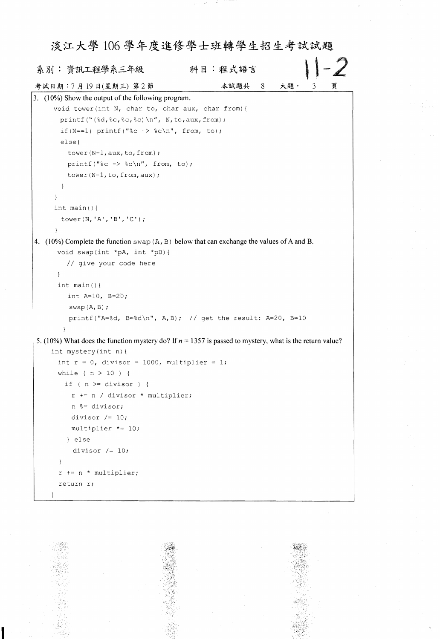## 淡江大學106學年度進修學士班轉學生招生考試試題  $\frac{1}{2}$ 科目:程式語言 系別:資訊工程學系三年級 本試題共 8 大題, 3 頁 考試日期:7月19日(星期三) 第2節 3.  $(10\%)$  Show the output of the following program. void tower(int N, char to, char aux, char from) { printf("(%d,%c,%c,%c)\n", N,to,aux,from); if(N == 1) printf("%c  $\rightarrow$  %c\n", from, to); else{ tower( $N-1$ , aux, to, from); printf("%c  $\rightarrow$  %c\n", from, to); tower(N-1, to, from, aux);  $\left\{ \right\}$  $\left\{ \right\}$ int main(){ tower  $(N, 'A', 'B', 'C')$ ;  $\mathcal{F}$ 4.  $(10\%)$  Complete the function swap  $(A, B)$  below that can exchange the values of A and B. void swap(int \*pA, int \*pB) { // give your code here } int main() { int  $A=10$ ,  $B=20$ ; swap $(A, B)$ ; printf("A=%d, B=%d\n", A,B); // get the result: A=20, B=10 5. (10%) What does the function mystery do? If  $n = 1357$  is passed to mystery, what is the return value? int mystery(int n) { int  $r = 0$ , divisor = 1000, multiplier = 1; while ( $n > 10$ ) { if (  $n$  >= divisor ) {  $r$  += n / divisor  $*$  multiplier; n %= divisor; divisor *1= 10;* multiplier \*= 10; } else divisor  $/= 10$ ; }

|  | $r \neq n$ * multiplier;<br>return r; |  |  |  |  |  |  |  |  |
|--|---------------------------------------|--|--|--|--|--|--|--|--|
|  |                                       |  |  |  |  |  |  |  |  |
|  |                                       |  |  |  |  |  |  |  |  |
|  |                                       |  |  |  |  |  |  |  |  |
|  |                                       |  |  |  |  |  |  |  |  |
|  |                                       |  |  |  |  |  |  |  |  |
|  |                                       |  |  |  |  |  |  |  |  |
|  |                                       |  |  |  |  |  |  |  |  |
|  |                                       |  |  |  |  |  |  |  |  |
|  |                                       |  |  |  |  |  |  |  |  |